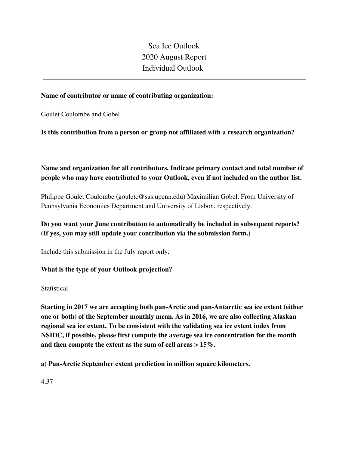Sea Ice Outlook 2020 August Report Individual Outlook

### **Name of contributor or name of contributing organization:**

Goulet Coulombe and Gobel

**Is this contribution from a person or group not affiliated with a research organization?** 

## **Name and organization for all contributors. Indicate primary contact and total number of people who may have contributed to your Outlook, even if not included on the author list.**

Philippe Goulet Coulombe (gouletc@sas.upenn.edu) Maximilian Gobel. From University of Pennsylvania Economics Department and University of Lisbon, respectively.

## **Do you want your June contribution to automatically be included in subsequent reports? (If yes, you may still update your contribution via the submission form.)**

Include this submission in the July report only.

### **What is the type of your Outlook projection?**

### **Statistical**

**Starting in 2017 we are accepting both pan-Arctic and pan-Antarctic sea ice extent (either one or both) of the September monthly mean. As in 2016, we are also collecting Alaskan regional sea ice extent. To be consistent with the validating sea ice extent index from NSIDC, if possible, please first compute the average sea ice concentration for the month and then compute the extent as the sum of cell areas > 15%.**

**a) Pan-Arctic September extent prediction in million square kilometers.**

4.37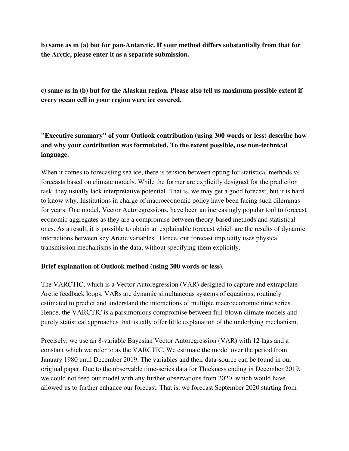**b) same as in (a) but for pan-Antarctic. If your method differs substantially from that for the Arctic, please enter it as a separate submission.**

**c) same as in (b) but for the Alaskan region. Please also tell us maximum possible extent if every ocean cell in your region were ice covered.**

# **"Executive summary" of your Outlook contribution (using 300 words or less) describe how and why your contribution was formulated. To the extent possible, use non-technical language.**

When it comes to forecasting sea ice, there is tension between opting for statistical methods vs forecasts based on climate models. While the former are explicitly designed for the prediction task, they usually lack interpretative potential. That is, we may get a good forecast, but it is hard to know why. Institutions in charge of macroeconomic policy have been facing such dilemmas for years. One model, Vector Autoregressions, have been an increasingly popular tool to forecast economic aggregates as they are a compromise between theory-based methods and statistical ones. As a result, it is possible to obtain an explainable forecast which are the results of dynamic interactions between key Arctic variables. Hence, our forecast implicitly uses physical transmission mechanisms in the data, without specifying them explicitly.

### **Brief explanation of Outlook method (using 300 words or less).**

The VARCTIC, which is a Vector Autoregression (VAR) designed to capture and extrapolate Arctic feedback loops. VARs are dynamic simultaneous systems of equations, routinely estimated to predict and understand the interactions of multiple macroeconomic time series. Hence, the VARCTIC is a parsimonious compromise between full-blown climate models and purely statistical approaches that usually offer little explanation of the underlying mechanism.

Precisely, we use an 8-variable Bayesian Vector Autoregression (VAR) with 12 lags and a constant which we refer to as the VARCTIC. We estimate the model over the period from January 1980 until December 2019. The variables and their data-source can be found in our original paper. Due to the observable time-series data for Thickness ending in December 2019, we could not feed our model with any further observations from 2020, which would have allowed us to further enhance our forecast. That is, we forecast September 2020 starting from